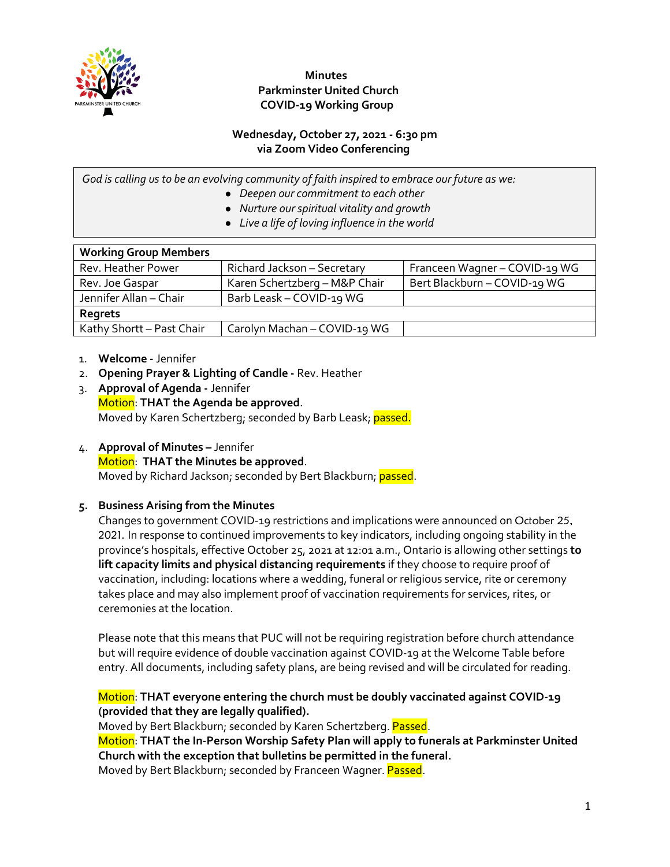

### **Minutes Parkminster United Church COVID-19 Working Group**

#### **Wednesday, October 27, 2021 - 6:30 pm via Zoom Video Conferencing**

*God is calling us to be an evolving community of faith inspired to embrace our future as we:*

- *Deepen our commitment to each other*
- *Nurture our spiritual vitality and growth*
- *Live a life of loving influence in the world*

| <b>Working Group Members</b> |                               |                               |
|------------------------------|-------------------------------|-------------------------------|
| Rev. Heather Power           | Richard Jackson - Secretary   | Franceen Wagner - COVID-19 WG |
| Rev. Joe Gaspar              | Karen Schertzberg - M&P Chair | Bert Blackburn - COVID-19 WG  |
| Jennifer Allan - Chair       | Barb Leask - COVID-19 WG      |                               |
| Regrets                      |                               |                               |
| Kathy Shortt - Past Chair    | Carolyn Machan - COVID-19 WG  |                               |

- 1. **Welcome -** Jennifer
- 2. **Opening Prayer & Lighting of Candle -** Rev. Heather
- 3. **Approval of Agenda -** Jennifer Motion: **THAT the Agenda be approved**. Moved by Karen Schertzberg; seconded by Barb Leask; passed.
- 4. **Approval of Minutes –** Jennifer Motion: **THAT the Minutes be approved**. Moved by Richard Jackson; seconded by Bert Blackburn; passed.

# **5. Business Arising from the Minutes**

Changes to government COVID-19 restrictions and implications were announced on October 25, 2021. In response to continued improvements to key indicators, including ongoing stability in the province's hospitals, effective October 25, 2021 at 12:01 a.m., Ontario is allowing other settings **to lift capacity limits and physical distancing requirements** if they choose to require proof of vaccination, including: locations where a wedding, funeral or religious service, rite or ceremony takes place and may also implement proof of vaccination requirements for services, rites, or ceremonies at the location.

Please note that this means that PUC will not be requiring registration before church attendance but will require evidence of double vaccination against COVID-19 at the Welcome Table before entry. All documents, including safety plans, are being revised and will be circulated for reading.

#### Motion: **THAT everyone entering the church must be doubly vaccinated against COVID-19 (provided that they are legally qualified).**

Moved by Bert Blackburn; seconded by Karen Schertzberg. Passed.

Motion: **THAT the In-Person Worship Safety Plan will apply to funerals at Parkminster United Church with the exception that bulletins be permitted in the funeral.** Moved by Bert Blackburn; seconded by Franceen Wagner. Passed.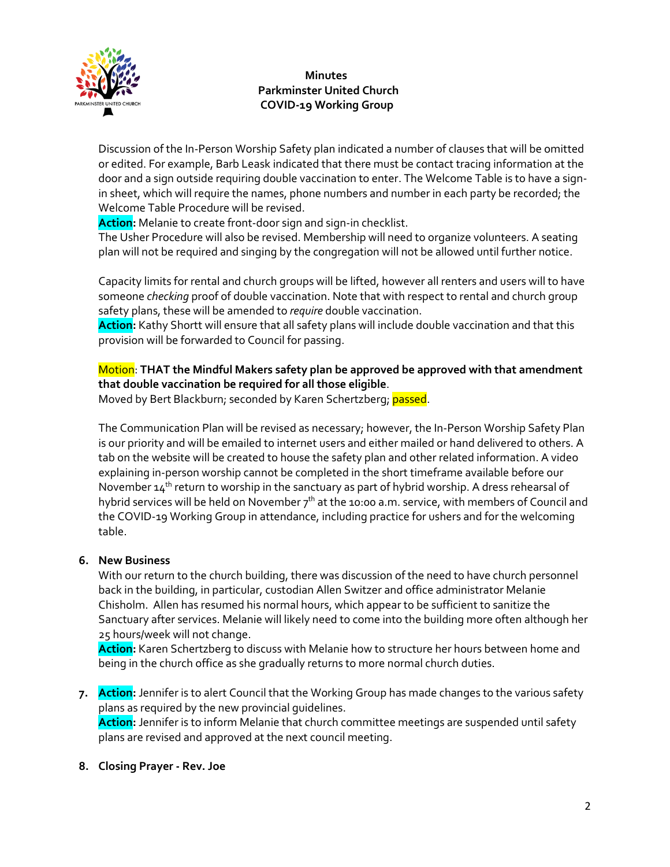

# **Minutes Parkminster United Church COVID-19 Working Group**

Discussion of the In-Person Worship Safety plan indicated a number of clauses that will be omitted or edited. For example, Barb Leask indicated that there must be contact tracing information at the door and a sign outside requiring double vaccination to enter. The Welcome Table is to have a signin sheet, which will require the names, phone numbers and number in each party be recorded; the Welcome Table Procedure will be revised.

**Action:** Melanie to create front-door sign and sign-in checklist.

The Usher Procedure will also be revised. Membership will need to organize volunteers. A seating plan will not be required and singing by the congregation will not be allowed until further notice.

Capacity limits for rental and church groups will be lifted, however all renters and users will to have someone *checking* proof of double vaccination. Note that with respect to rental and church group safety plans, these will be amended to *require* double vaccination.

**Action:** Kathy Shortt will ensure that all safety plans will include double vaccination and that this provision will be forwarded to Council for passing.

Motion: **THAT the Mindful Makers safety plan be approved be approved with that amendment that double vaccination be required for all those eligible**.

Moved by Bert Blackburn; seconded by Karen Schertzberg; passed.

The Communication Plan will be revised as necessary; however, the In-Person Worship Safety Plan is our priority and will be emailed to internet users and either mailed or hand delivered to others. A tab on the website will be created to house the safety plan and other related information. A video explaining in-person worship cannot be completed in the short timeframe available before our November 14<sup>th</sup> return to worship in the sanctuary as part of hybrid worship. A dress rehearsal of hybrid services will be held on November  $7<sup>th</sup>$  at the 10:00 a.m. service, with members of Council and the COVID-19 Working Group in attendance, including practice for ushers and for the welcoming table.

# **6. New Business**

With our return to the church building, there was discussion of the need to have church personnel back in the building, in particular, custodian Allen Switzer and office administrator Melanie Chisholm. Allen has resumed his normal hours, which appear to be sufficient to sanitize the Sanctuary after services. Melanie will likely need to come into the building more often although her 25 hours/week will not change.

**Action:** Karen Schertzberg to discuss with Melanie how to structure her hours between home and being in the church office as she gradually returns to more normal church duties.

**7. Action:** Jennifer is to alert Council that the Working Group has made changes to the various safety plans as required by the new provincial guidelines. **Action:** Jennifer is to inform Melanie that church committee meetings are suspended until safety plans are revised and approved at the next council meeting.

#### **8. Closing Prayer - Rev. Joe**